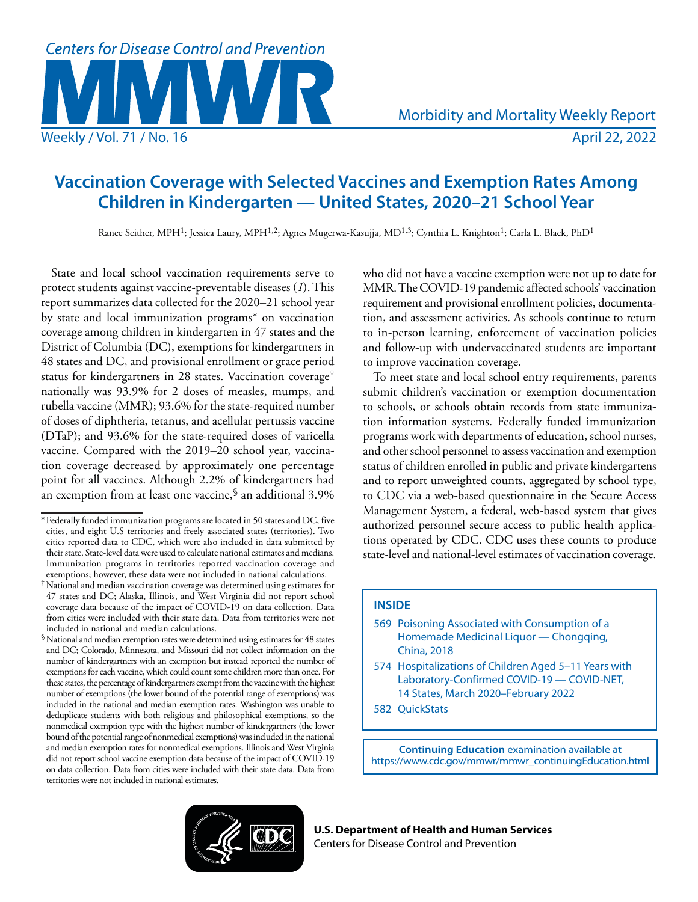

# **Vaccination Coverage with Selected Vaccines and Exemption Rates Among Children in Kindergarten — United States, 2020–21 School Year**

Ranee Seither, MPH1; Jessica Laury, MPH1,2; Agnes Mugerwa-Kasujja, MD1,3; Cynthia L. Knighton1; Carla L. Black, PhD1

State and local school vaccination requirements serve to protect students against vaccine-preventable diseases (*1*). This report summarizes data collected for the 2020–21 school year by state and local immunization programs\* on vaccination coverage among children in kindergarten in 47 states and the District of Columbia (DC), exemptions for kindergartners in 48 states and DC, and provisional enrollment or grace period status for kindergartners in 28 states. Vaccination coverage† nationally was 93.9% for 2 doses of measles, mumps, and rubella vaccine (MMR); 93.6% for the state-required number of doses of diphtheria, tetanus, and acellular pertussis vaccine (DTaP); and 93.6% for the state-required doses of varicella vaccine. Compared with the 2019–20 school year, vaccination coverage decreased by approximately one percentage point for all vaccines. Although 2.2% of kindergartners had an exemption from at least one vaccine,<sup>§</sup> an additional 3.9%

who did not have a vaccine exemption were not up to date for MMR. The COVID-19 pandemic affected schools' vaccination requirement and provisional enrollment policies, documentation, and assessment activities. As schools continue to return to in-person learning, enforcement of vaccination policies and follow-up with undervaccinated students are important to improve vaccination coverage.

To meet state and local school entry requirements, parents submit children's vaccination or exemption documentation to schools, or schools obtain records from state immunization information systems. Federally funded immunization programs work with departments of education, school nurses, and other school personnel to assess vaccination and exemption status of children enrolled in public and private kindergartens and to report unweighted counts, aggregated by school type, to CDC via a web-based questionnaire in the Secure Access Management System, a federal, web-based system that gives authorized personnel secure access to public health applications operated by CDC. CDC uses these counts to produce state-level and national-level estimates of vaccination coverage.

# **INSIDE**

- 569 Poisoning Associated with Consumption of a Homemade Medicinal Liquor — Chongqing, China, 2018
- 574 Hospitalizations of Children Aged 5–11 Years with Laboratory-Confirmed COVID-19 — COVID-NET, 14 States, March 2020–February 2022
- 582 QuickStats

**Continuing Education** examination available at [https://www.cdc.gov/mmwr/mmwr\\_continuingEducation.html](https://www.cdc.gov/mmwr/mmwr_continuingEducation.html)



**U.S. Department of Health and Human Services** Centers for Disease Control and Prevention

<sup>\*</sup> Federally funded immunization programs are located in 50 states and DC, five cities, and eight U.S territories and freely associated states (territories). Two cities reported data to CDC, which were also included in data submitted by their state. State-level data were used to calculate national estimates and medians. Immunization programs in territories reported vaccination coverage and exemptions; however, these data were not included in national calculations.

<sup>†</sup>National and median vaccination coverage was determined using estimates for 47 states and DC; Alaska, Illinois, and West Virginia did not report school coverage data because of the impact of COVID-19 on data collection. Data from cities were included with their state data. Data from territories were not included in national and median calculations.

<sup>§</sup>National and median exemption rates were determined using estimates for 48 states and DC; Colorado, Minnesota, and Missouri did not collect information on the number of kindergartners with an exemption but instead reported the number of exemptions for each vaccine, which could count some children more than once. For these states, the percentage of kindergartners exempt from the vaccine with the highest number of exemptions (the lower bound of the potential range of exemptions) was included in the national and median exemption rates. Washington was unable to deduplicate students with both religious and philosophical exemptions, so the nonmedical exemption type with the highest number of kindergartners (the lower bound of the potential range of nonmedical exemptions) was included in the national and median exemption rates for nonmedical exemptions. Illinois and West Virginia did not report school vaccine exemption data because of the impact of COVID-19 on data collection. Data from cities were included with their state data. Data from territories were not included in national estimates.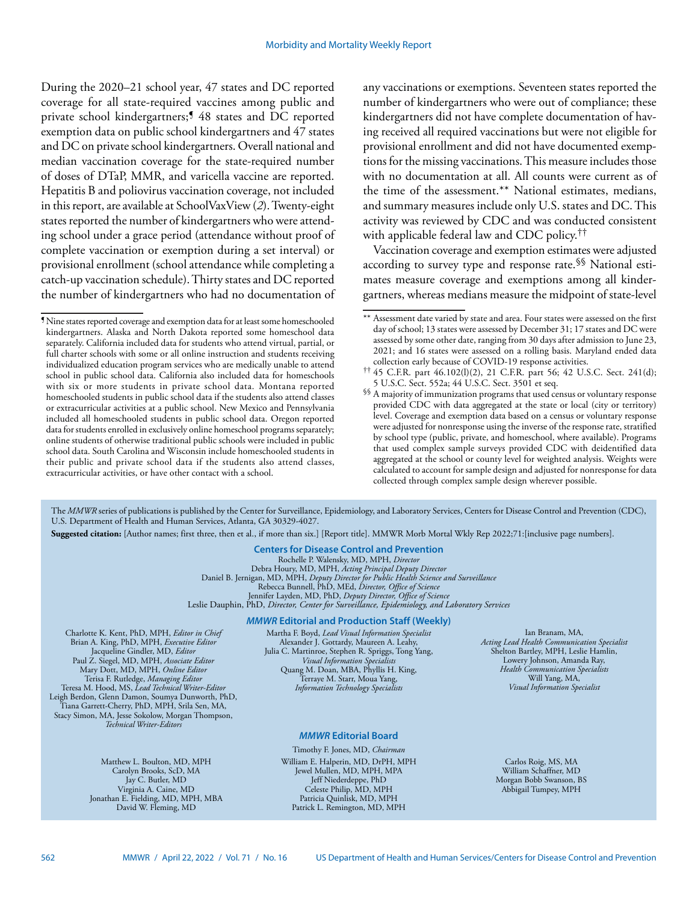During the 2020–21 school year, 47 states and DC reported coverage for all state-required vaccines among public and private school kindergartners;<sup>1</sup> 48 states and DC reported exemption data on public school kindergartners and 47 states and DC on private school kindergartners. Overall national and median vaccination coverage for the state-required number of doses of DTaP, MMR, and varicella vaccine are reported. Hepatitis B and poliovirus vaccination coverage, not included in this report, are available at SchoolVaxView (*2*). Twenty-eight states reported the number of kindergartners who were attending school under a grace period (attendance without proof of complete vaccination or exemption during a set interval) or provisional enrollment (school attendance while completing a catch-up vaccination schedule). Thirty states and DC reported the number of kindergartners who had no documentation of any vaccinations or exemptions. Seventeen states reported the number of kindergartners who were out of compliance; these kindergartners did not have complete documentation of having received all required vaccinations but were not eligible for provisional enrollment and did not have documented exemptions for the missing vaccinations. This measure includes those with no documentation at all. All counts were current as of the time of the assessment.\*\* National estimates, medians, and summary measures include only U.S. states and DC. This activity was reviewed by CDC and was conducted consistent with applicable federal law and CDC policy.<sup>††</sup>

Vaccination coverage and exemption estimates were adjusted according to survey type and response rate.§§ National estimates measure coverage and exemptions among all kindergartners, whereas medians measure the midpoint of state-level

The *MMWR* series of publications is published by the Center for Surveillance, Epidemiology, and Laboratory Services, Centers for Disease Control and Prevention (CDC), U.S. Department of Health and Human Services, Atlanta, GA 30329-4027.

**Suggested citation:** [Author names; first three, then et al., if more than six.] [Report title]. MMWR Morb Mortal Wkly Rep 2022;71:[inclusive page numbers].

**Centers for Disease Control and Prevention** Rochelle P. Walensky, MD, MPH, *Director* Debra Houry, MD, MPH, *Acting Principal Deputy Director* Daniel B. Jernigan, MD, MPH, *Deputy Director for Public Health Science and Surveillance* Rebecca Bunnell, PhD, MEd, *Director, Office of Science* Jennifer Layden, MD, PhD, *Deputy Director, Office of Science* Leslie Dauphin, PhD, *Director, Center for Surveillance, Epidemiology, and Laboratory Services*

#### *MMWR* **Editorial and Production Staff (Weekly)**

Charlotte K. Kent, PhD, MPH, *Editor in Chief*  Brian A. King, PhD, MPH, *Executive Editor* Jacqueline Gindler, MD, *Editor* Paul Z. Siegel, MD, MPH, *Associate Editor* Mary Dott, MD, MPH, *Online Editor* Terisa F. Rutledge, *Managing Editor*  Teresa M. Hood, MS, *Lead Technical Writer-Editor* Leigh Berdon, Glenn Damon, Soumya Dunworth, PhD, Tiana Garrett-Cherry, PhD, MPH, Srila Sen, MA, Stacy Simon, MA, Jesse Sokolow, Morgan Thompson, *Technical Writer-Editors*

> Matthew L. Boulton, MD, MPH Carolyn Brooks, ScD, MA Jay C. Butler, MD Virginia A. Caine, MD Jonathan E. Fielding, MD, MPH, MBA David W. Fleming, MD

Martha F. Boyd, *Lead Visual Information Specialist* Alexander J. Gottardy, Maureen A. Leahy, Julia C. Martinroe, Stephen R. Spriggs, Tong Yang, *Visual Information Specialists* Quang M. Doan, MBA, Phyllis H. King, Terraye M. Starr, Moua Yang, *Information Technology Specialists*

# *MMWR* **Editorial Board**

Timothy F. Jones, MD, *Chairman* William E. Halperin, MD, DrPH, MPH Jewel Mullen, MD, MPH, MPA Jeff Niederdeppe, PhD Celeste Philip, MD, MPH Patricia Quinlisk, MD, MPH Patrick L. Remington, MD, MPH

Ian Branam, MA, *Acting Lead Health Communication Specialist* Shelton Bartley, MPH, Leslie Hamlin, Lowery Johnson, Amanda Ray, *Health Communication Specialists* Will Yang, MA, *Visual Information Specialist*

Carlos Roig, MS, MA William Schaffner, MD Morgan Bobb Swanson, BS Abbigail Tumpey, MPH

<sup>¶</sup>Nine states reported coverage and exemption data for at least some homeschooled kindergartners. Alaska and North Dakota reported some homeschool data separately. California included data for students who attend virtual, partial, or full charter schools with some or all online instruction and students receiving individualized education program services who are medically unable to attend school in public school data. California also included data for homeschools with six or more students in private school data. Montana reported homeschooled students in public school data if the students also attend classes or extracurricular activities at a public school. New Mexico and Pennsylvania included all homeschooled students in public school data. Oregon reported data for students enrolled in exclusively online homeschool programs separately; online students of otherwise traditional public schools were included in public school data. South Carolina and Wisconsin include homeschooled students in their public and private school data if the students also attend classes, extracurricular activities, or have other contact with a school.

<sup>\*\*</sup> Assessment date varied by state and area. Four states were assessed on the first day of school; 13 states were assessed by December 31; 17 states and DC were assessed by some other date, ranging from 30 days after admission to June 23, 2021; and 16 states were assessed on a rolling basis. Maryland ended data collection early because of COVID-19 response activities.

<sup>††</sup> 45 C.F.R. part 46.102(l)(2), 21 C.F.R. part 56; 42 U.S.C. Sect. 241(d); 5 U.S.C. Sect. 552a; 44 U.S.C. Sect. 3501 et seq.

<sup>§§</sup> A majority of immunization programs that used census or voluntary response provided CDC with data aggregated at the state or local (city or territory) level. Coverage and exemption data based on a census or voluntary response were adjusted for nonresponse using the inverse of the response rate, stratified by school type (public, private, and homeschool, where available). Programs that used complex sample surveys provided CDC with deidentified data aggregated at the school or county level for weighted analysis. Weights were calculated to account for sample design and adjusted for nonresponse for data collected through complex sample design wherever possible.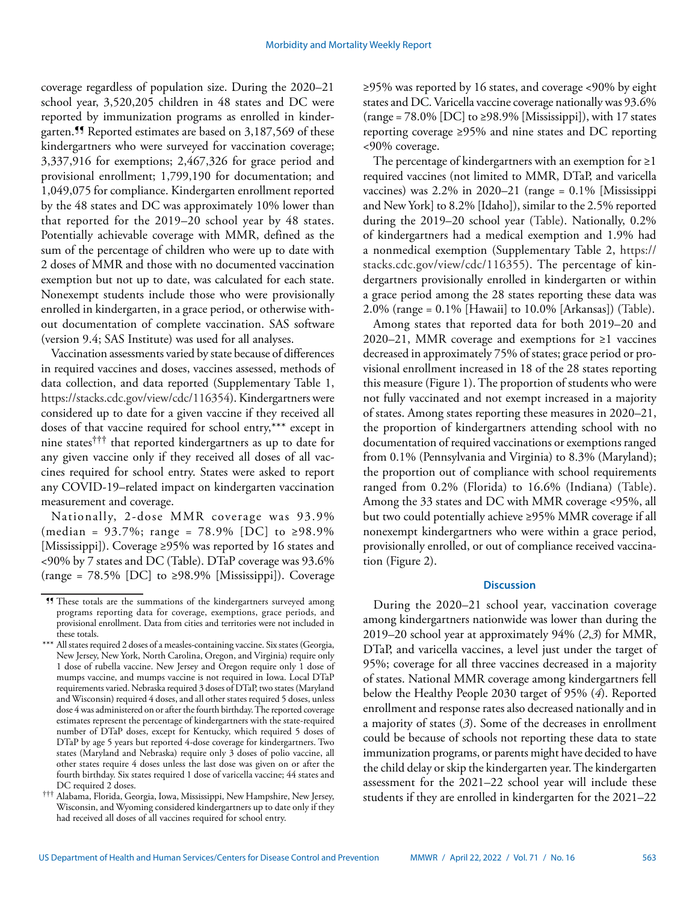coverage regardless of population size. During the 2020–21 school year, 3,520,205 children in 48 states and DC were reported by immunization programs as enrolled in kindergarten.¶¶ Reported estimates are based on 3,187,569 of these kindergartners who were surveyed for vaccination coverage; 3,337,916 for exemptions; 2,467,326 for grace period and provisional enrollment; 1,799,190 for documentation; and 1,049,075 for compliance. Kindergarten enrollment reported by the 48 states and DC was approximately 10% lower than that reported for the 2019–20 school year by 48 states. Potentially achievable coverage with MMR, defined as the sum of the percentage of children who were up to date with 2 doses of MMR and those with no documented vaccination exemption but not up to date, was calculated for each state. Nonexempt students include those who were provisionally enrolled in kindergarten, in a grace period, or otherwise without documentation of complete vaccination. SAS software (version 9.4; SAS Institute) was used for all analyses.

Vaccination assessments varied by state because of differences in required vaccines and doses, vaccines assessed, methods of data collection, and data reported (Supplementary Table 1, [https://stacks.cdc.gov/view/cdc/116354\)](https://stacks.cdc.gov/view/cdc/116354). Kindergartners were considered up to date for a given vaccine if they received all doses of that vaccine required for school entry,\*\*\* except in nine states††† that reported kindergartners as up to date for any given vaccine only if they received all doses of all vaccines required for school entry. States were asked to report any COVID-19–related impact on kindergarten vaccination measurement and coverage.

Nationally, 2-dose MMR coverage was 93.9% (median = 93.7%; range = 78.9% [DC] to ≥98.9% [Mississippi]). Coverage ≥95% was reported by 16 states and <90% by 7 states and DC (Table). DTaP coverage was 93.6% (range =  $78.5\%$  [DC] to  $\geq$ 98.9% [Mississippi]). Coverage ≥95% was reported by 16 states, and coverage <90% by eight states and DC. Varicella vaccine coverage nationally was 93.6%  $(\text{range} = 78.0\%$  [DC] to  $\geq 98.9\%$  [Mississippi]), with 17 states reporting coverage ≥95% and nine states and DC reporting <90% coverage.

The percentage of kindergartners with an exemption for  $\geq 1$ required vaccines (not limited to MMR, DTaP, and varicella vaccines) was  $2.2\%$  in  $2020-21$  (range =  $0.1\%$  [Mississippi and New York] to 8.2% [Idaho]), similar to the 2.5% reported during the 2019–20 school year (Table). Nationally, 0.2% of kindergartners had a medical exemption and 1.9% had a nonmedical exemption (Supplementary Table 2, [https://](https://stacks.cdc.gov/view/cdc/116355) [stacks.cdc.gov/view/cdc/116355\)](https://stacks.cdc.gov/view/cdc/116355). The percentage of kindergartners provisionally enrolled in kindergarten or within a grace period among the 28 states reporting these data was 2.0% (range = 0.1% [Hawaii] to 10.0% [Arkansas]) (Table).

Among states that reported data for both 2019–20 and 2020–21, MMR coverage and exemptions for ≥1 vaccines decreased in approximately 75% of states; grace period or provisional enrollment increased in 18 of the 28 states reporting this measure (Figure 1). The proportion of students who were not fully vaccinated and not exempt increased in a majority of states. Among states reporting these measures in 2020–21, the proportion of kindergartners attending school with no documentation of required vaccinations or exemptions ranged from 0.1% (Pennsylvania and Virginia) to 8.3% (Maryland); the proportion out of compliance with school requirements ranged from 0.2% (Florida) to 16.6% (Indiana) (Table). Among the 33 states and DC with MMR coverage <95%, all but two could potentially achieve ≥95% MMR coverage if all nonexempt kindergartners who were within a grace period, provisionally enrolled, or out of compliance received vaccination (Figure 2).

# **Discussion**

During the 2020–21 school year, vaccination coverage among kindergartners nationwide was lower than during the 2019–20 school year at approximately 94% (*2*,*3*) for MMR, DTaP, and varicella vaccines, a level just under the target of 95%; coverage for all three vaccines decreased in a majority of states. National MMR coverage among kindergartners fell below the Healthy People 2030 target of 95% (*4*). Reported enrollment and response rates also decreased nationally and in a majority of states (*3*). Some of the decreases in enrollment could be because of schools not reporting these data to state immunization programs, or parents might have decided to have the child delay or skip the kindergarten year. The kindergarten assessment for the 2021–22 school year will include these students if they are enrolled in kindergarten for the 2021–22

<sup>¶¶</sup> These totals are the summations of the kindergartners surveyed among programs reporting data for coverage, exemptions, grace periods, and provisional enrollment. Data from cities and territories were not included in these totals.

<sup>\*\*\*</sup> All states required 2 doses of a measles-containing vaccine. Six states (Georgia, New Jersey, New York, North Carolina, Oregon, and Virginia) require only 1 dose of rubella vaccine. New Jersey and Oregon require only 1 dose of mumps vaccine, and mumps vaccine is not required in Iowa. Local DTaP requirements varied. Nebraska required 3 doses of DTaP, two states (Maryland and Wisconsin) required 4 doses, and all other states required 5 doses, unless dose 4 was administered on or after the fourth birthday. The reported coverage estimates represent the percentage of kindergartners with the state-required number of DTaP doses, except for Kentucky, which required 5 doses of DTaP by age 5 years but reported 4-dose coverage for kindergartners. Two states (Maryland and Nebraska) require only 3 doses of polio vaccine, all other states require 4 doses unless the last dose was given on or after the fourth birthday. Six states required 1 dose of varicella vaccine; 44 states and DC required 2 doses.

<sup>†††</sup> Alabama, Florida, Georgia, Iowa, Mississippi, New Hampshire, New Jersey, Wisconsin, and Wyoming considered kindergartners up to date only if they had received all doses of all vaccines required for school entry.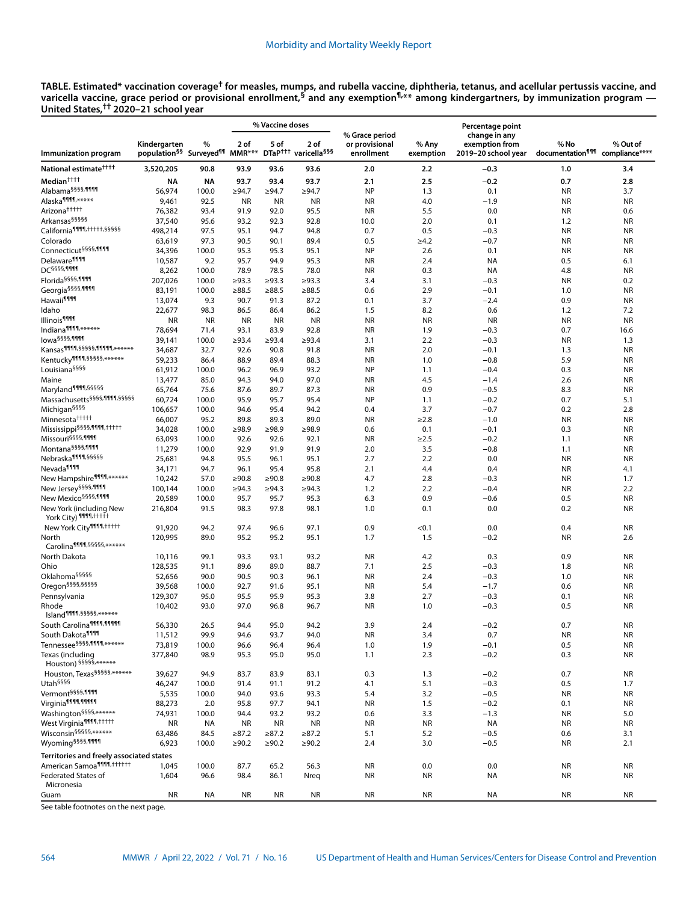**TABLE. Estimated\* vaccination coverage† for measles, mumps, and rubella vaccine, diphtheria, tetanus, and acellular pertussis vaccine, and varicella vaccine, grace period or provisional enrollment,§ and any exemption¶,\*\* among kindergartners, by immunization program — United States,†† 2020–21 school year**

|                                                             |                                                                        |               | % Vaccine doses |              |                                                      |                                                |                    | Percentage point                                       |                                                     |                        |
|-------------------------------------------------------------|------------------------------------------------------------------------|---------------|-----------------|--------------|------------------------------------------------------|------------------------------------------------|--------------------|--------------------------------------------------------|-----------------------------------------------------|------------------------|
| Immunization program                                        | Kindergarten<br>population <sup>§§</sup> Surveyed <sup>¶¶</sup> MMR*** | %             | 2 of            | 5 of         | 2 of<br>DTaP <sup>+++</sup> varicella <sup>§§§</sup> | % Grace period<br>or provisional<br>enrollment | % Any<br>exemption | change in any<br>exemption from<br>2019–20 school year | % No<br>documentation <sup>111</sup> compliance**** | % Out of               |
| National estimate <sup>††††</sup>                           | 3,520,205                                                              | 90.8          | 93.9            | 93.6         | 93.6                                                 | 2.0                                            | 2.2                | $-0.3$                                                 | 1.0                                                 | 3.4                    |
| Median <sup>††††</sup>                                      | NA                                                                     | <b>NA</b>     | 93.7            | 93.4         | 93.7                                                 | 2.1                                            | 2.5                | $-0.2$                                                 | 0.7                                                 | 2.8                    |
| Alabama <sup>§§§§</sup> ,1111                               | 56,974                                                                 | 100.0         | ≥94.7           | ≥94.7        | ≥94.7                                                | <b>NP</b>                                      | 1.3                | 0.1                                                    | <b>NR</b>                                           | 3.7                    |
| Alaska <sup>1111</sup> ,*****                               | 9,461                                                                  | 92.5          | NR              | <b>NR</b>    | <b>NR</b>                                            | <b>NR</b>                                      | 4.0                | $-1.9$                                                 | <b>NR</b>                                           | <b>NR</b>              |
| Arizona <sup>†††††</sup>                                    | 76,382                                                                 | 93.4          | 91.9            | 92.0         | 95.5                                                 | <b>NR</b>                                      | 5.5                | 0.0                                                    | <b>NR</b>                                           | 0.6                    |
| Arkansas <sup>§§§§§</sup>                                   | 37,540                                                                 | 95.6          | 93.2            | 92.3         | 92.8                                                 | 10.0                                           | 2.0                | 0.1                                                    | 1.2                                                 | <b>NR</b>              |
| California <sup>9999,</sup> ttttt, §§§§§                    | 498,214                                                                | 97.5          | 95.1            | 94.7         | 94.8                                                 | 0.7                                            | 0.5                | $-0.3$                                                 | <b>NR</b>                                           | <b>NR</b>              |
| Colorado                                                    | 63,619                                                                 | 97.3          | 90.5            | 90.1         | 89.4                                                 | 0.5                                            | $\geq 4.2$         | $-0.7$                                                 | <b>NR</b>                                           | <b>NR</b>              |
| Connecticut <sup>§§§§,1111</sup>                            | 34,396                                                                 | 100.0         | 95.3            | 95.3         | 95.1                                                 | <b>NP</b>                                      | 2.6                | 0.1                                                    | <b>NR</b>                                           | <b>NR</b>              |
| Delaware <sup>1111</sup>                                    | 10,587                                                                 | 9.2           | 95.7            | 94.9         | 95.3                                                 | <b>NR</b>                                      | 2.4                | <b>NA</b>                                              | 0.5                                                 | 6.1                    |
| DC <sup>§§§§</sup> ,1111                                    | 8,262                                                                  | 100.0         | 78.9            | 78.5         | 78.0                                                 | <b>NR</b>                                      | 0.3                | <b>NA</b>                                              | 4.8                                                 | <b>NR</b>              |
| Florida <sup>§§§§,</sup> 1111                               | 207,026                                                                | 100.0         | $\geq 93.3$     | $\geq$ 93.3  | $\geq 93.3$                                          | 3.4                                            | 3.1                | $-0.3$                                                 | ΝR                                                  | 0.2                    |
| Georgia <sup>§§§§</sup> ,1111                               | 83,191                                                                 | 100.0         | $\ge 88.5$      | ≥88.5        | $\ge 88.5$                                           | 0.6                                            | 2.9                | $-0.1$                                                 | 1.0                                                 | <b>NR</b>              |
| Hawaii <sup>¶111</sup>                                      | 13,074                                                                 | 9.3           | 90.7            | 91.3         | 87.2                                                 | 0.1                                            | 3.7                | $-2.4$                                                 | 0.9                                                 | <b>NR</b>              |
| Idaho                                                       | 22,677                                                                 | 98.3          | 86.5            | 86.4         | 86.2                                                 | 1.5                                            | 8.2                | 0.6                                                    | 1.2                                                 | 7.2                    |
| Illinois <sup>9999</sup><br>Indiana <sup>1111</sup> ,****** | <b>NR</b>                                                              | <b>NR</b>     | <b>NR</b>       | <b>NR</b>    | <b>NR</b>                                            | <b>NR</b>                                      | <b>NR</b>          | <b>NR</b>                                              | <b>NR</b>                                           | <b>NR</b>              |
| lowa <sup>§§§§,</sup> 1111                                  | 78,694                                                                 | 71.4          | 93.1            | 83.9         | 92.8                                                 | <b>NR</b>                                      | 1.9                | $-0.3$                                                 | 0.7                                                 | 16.6                   |
| Kansas <sup>1111</sup> , 55555, 11111, ******               | 39,141                                                                 | 100.0         | $\geq 93.4$     | >93.4        | $\geq 93.4$                                          | 3.1                                            | 2.2                | $-0.3$                                                 | <b>NR</b>                                           | 1.3                    |
| Kentucky¶¶¶1,55555,******                                   | 34,687<br>59,233                                                       | 32.7<br>86.4  | 92.6<br>88.9    | 90.8<br>89.4 | 91.8<br>88.3                                         | <b>NR</b><br><b>NR</b>                         | 2.0<br>1.0         | $-0.1$<br>$-0.8$                                       | 1.3<br>5.9                                          | <b>NR</b><br><b>NR</b> |
| Louisiana <sup>§§§§</sup>                                   | 61,912                                                                 | 100.0         | 96.2            | 96.9         | 93.2                                                 | <b>NP</b>                                      | 1.1                | $-0.4$                                                 | 0.3                                                 | <b>NR</b>              |
| Maine                                                       | 13,477                                                                 | 85.0          | 94.3            | 94.0         | 97.0                                                 | <b>NR</b>                                      | 4.5                | $-1.4$                                                 | 2.6                                                 | <b>NR</b>              |
| Maryland <sup>9191,55555</sup>                              | 65,764                                                                 | 75.6          | 87.6            | 89.7         | 87.3                                                 | <b>NR</b>                                      | 0.9                | $-0.5$                                                 | 8.3                                                 | <b>NR</b>              |
| Massachusetts § 585,1111,55555                              | 60,724                                                                 | 100.0         | 95.9            | 95.7         | 95.4                                                 | <b>NP</b>                                      | 1.1                | $-0.2$                                                 | 0.7                                                 | 5.1                    |
| Michigan <sup>§§§§</sup>                                    | 106,657                                                                | 100.0         | 94.6            | 95.4         | 94.2                                                 | 0.4                                            | 3.7                | $-0.7$                                                 | 0.2                                                 | 2.8                    |
| Minnesota <sup>†††††</sup>                                  | 66,007                                                                 | 95.2          | 89.8            | 89.3         | 89.0                                                 | <b>NR</b>                                      | $\geq$ 2.8         | $-1.0$                                                 | <b>NR</b>                                           | <b>NR</b>              |
| Mississippi <sup>§§§§</sup> ,1111,+++++                     | 34,028                                                                 | 100.0         | >98.9           | >98.9        | >98.9                                                | 0.6                                            | 0.1                | $-0.1$                                                 | 0.3                                                 | <b>NR</b>              |
| Missouri <sup>§§§§,</sup> 1111                              | 63,093                                                                 | 100.0         | 92.6            | 92.6         | 92.1                                                 | <b>NR</b>                                      | $\geq 2.5$         | $-0.2$                                                 | 1.1                                                 | <b>NR</b>              |
| Montana <sup>§§§§,</sup> 1111                               | 11,279                                                                 | 100.0         | 92.9            | 91.9         | 91.9                                                 | 2.0                                            | 3.5                | $-0.8$                                                 | 1.1                                                 | <b>NR</b>              |
| Nebraska <sup>9999, §§§§§</sup>                             | 25,681                                                                 | 94.8          | 95.5            | 96.1         | 95.1                                                 | 2.7                                            | 2.2                | 0.0                                                    | <b>NR</b>                                           | <b>NR</b>              |
| Nevada <sup>1111</sup>                                      | 34,171                                                                 | 94.7          | 96.1            | 95.4         | 95.8                                                 | 2.1                                            | 4.4                | 0.4                                                    | <b>NR</b>                                           | 4.1                    |
| New Hampshire <sup>1111</sup> ,******                       | 10,242                                                                 | 57.0          | >90.8           | ≥90.8        | >90.8                                                | 4.7                                            | 2.8                | $-0.3$                                                 | <b>NR</b>                                           | 1.7                    |
| New Jersey <sup>§§§§,</sup> 1111                            | 100,144                                                                | 100.0         | $\geq 94.3$     | ≥94.3        | $\geq 94.3$                                          | 1.2                                            | 2.2                | $-0.4$                                                 | ΝR                                                  | 2.2                    |
| New Mexico <sup>§§§§</sup> ,1111                            | 20,589                                                                 | 100.0         | 95.7            | 95.7         | 95.3                                                 | 6.3                                            | 0.9                | $-0.6$                                                 | 0.5                                                 | <b>NR</b>              |
| New York (including New<br>York City) 1111, thirt           | 216,804                                                                | 91.5          | 98.3            | 97.8         | 98.1                                                 | 1.0                                            | 0.1                | 0.0                                                    | 0.2                                                 | <b>NR</b>              |
| New York City <sup>1111</sup> 1, ttttt                      | 91,920                                                                 | 94.2          | 97.4            | 96.6         | 97.1                                                 | 0.9                                            | < 0.1              | 0.0                                                    | 0.4                                                 | <b>NR</b>              |
| North<br>Carolina <sup>9999,5555,******</sup>               | 120,995                                                                | 89.0          | 95.2            | 95.2         | 95.1                                                 | 1.7                                            | 1.5                | $-0.2$                                                 | <b>NR</b>                                           | 2.6                    |
| North Dakota                                                | 10,116                                                                 | 99.1          | 93.3            | 93.1         | 93.2                                                 | <b>NR</b>                                      | 4.2                | 0.3                                                    | 0.9                                                 | <b>NR</b>              |
| Ohio                                                        | 128,535                                                                | 91.1          | 89.6            | 89.0         | 88.7                                                 | 7.1                                            | 2.5                | $-0.3$                                                 | 1.8                                                 | <b>NR</b>              |
| Oklahoma <sup>§§§§§</sup><br>Oregon <sup>§§§§,§§§§§</sup>   | 52,656<br>39,568                                                       | 90.0<br>100.0 | 90.5<br>92.7    | 90.3<br>91.6 | 96.1<br>95.1                                         | <b>NR</b><br><b>NR</b>                         | 2.4<br>5.4         | $-0.3$<br>$-1.7$                                       | 1.0                                                 | <b>NR</b><br><b>NR</b> |
| Pennsylvania                                                | 129,307                                                                | 95.0          | 95.5            | 95.9         | 95.3                                                 | 3.8                                            | 2.7                | $-0.3$                                                 | 0.6<br>0.1                                          | <b>NR</b>              |
| Rhode<br>Island <sup>999</sup> 9, 55555, ******             | 10,402                                                                 | 93.0          | 97.0            | 96.8         | 96.7                                                 | <b>NR</b>                                      | 1.0                | $-0.3$                                                 | 0.5                                                 | <b>NR</b>              |
| South Carolina <sup>9999,9999</sup>                         | 56,330                                                                 | 26.5          | 94.4            | 95.0         | 94.2                                                 | 3.9                                            | 2.4                | $-0.2$                                                 | 0.7                                                 | <b>NR</b>              |
| South Dakota <sup>9999</sup>                                | 11,512                                                                 | 99.9          | 94.6            | 93.7         | 94.0                                                 | <b>NR</b>                                      | 3.4                | 0.7                                                    | <b>NR</b>                                           | <b>NR</b>              |
| Tennessee <sup>§§§§</sup> ,1111,******                      | 73,819                                                                 | 100.0         | 96.6            | 96.4         | 96.4                                                 | 1.0                                            | 1.9                | $-0.1$                                                 | 0.5                                                 | <b>NR</b>              |
| Texas (including<br>Houston) 55555,******                   | 377,840                                                                | 98.9          | 95.3            | 95.0         | 95.0                                                 | 1.1                                            | 2.3                | $-0.2$                                                 | 0.3                                                 | <b>NR</b>              |
| Houston, Texas <sup>§§§§§</sup> ,******                     | 39,627                                                                 | 94.9          | 83.7            | 83.9         | 83.1                                                 | 0.3                                            | 1.3                | $-0.2$                                                 | 0.7                                                 | <b>NR</b>              |
| Utah <sup>§§§§</sup>                                        | 46,247                                                                 | 100.0         | 91.4            | 91.1         | 91.2                                                 | 4.1                                            | 5.1                | $-0.3$                                                 | 0.5                                                 | 1.7                    |
| Vermont <sup>§§§§,1111</sup>                                | 5,535                                                                  | 100.0         | 94.0            | 93.6         | 93.3                                                 | 5.4                                            | 3.2                | $-0.5$                                                 | <b>NR</b>                                           | <b>NR</b>              |
| Virginia <sup>9999,9999</sup>                               | 88,273                                                                 | 2.0           | 95.8            | 97.7         | 94.1                                                 | <b>NR</b>                                      | 1.5                | $-0.2$                                                 | 0.1                                                 | <b>NR</b>              |
| Washington <sup>§§§§,</sup> ******                          | 74,931                                                                 | 100.0         | 94.4            | 93.2         | 93.2                                                 | 0.6                                            | 3.3                | $-1.3$                                                 | <b>NR</b>                                           | 5.0                    |
| West Virginia <sup>9999</sup> , <b>http://</b>              | <b>NR</b>                                                              | NA            | <b>NR</b>       | <b>NR</b>    | <b>NR</b>                                            | <b>NR</b>                                      | <b>NR</b>          | <b>NA</b>                                              | NR                                                  | <b>NR</b>              |
| Wisconsin <sup>§§§§§</sup> ,******                          | 63,486                                                                 | 84.5          | ≥87.2           | ≥87.2        | $\geq 87.2$                                          | 5.1                                            | 5.2                | $-0.5$                                                 | 0.6                                                 | 3.1                    |
| Wyoming <sup>§§§§,</sup> 1111                               | 6,923                                                                  | 100.0         | $\geq 90.2$     | ≥90.2        | ≥90.2                                                | 2.4                                            | 3.0                | $-0.5$                                                 | <b>NR</b>                                           | 2.1                    |
| Territories and freely associated states                    |                                                                        |               |                 |              |                                                      |                                                |                    |                                                        |                                                     |                        |
| American Samoa <sup>9999</sup> , ++++++                     | 1,045                                                                  | 100.0         | 87.7            | 65.2         | 56.3                                                 | <b>NR</b>                                      | 0.0                | 0.0                                                    | NR                                                  | <b>NR</b>              |
| <b>Federated States of</b>                                  | 1,604                                                                  | 96.6          | 98.4            | 86.1         | Nreq                                                 | <b>NR</b>                                      | <b>NR</b>          | NA                                                     | <b>NR</b>                                           | <b>NR</b>              |
| Micronesia                                                  |                                                                        |               |                 |              |                                                      |                                                |                    |                                                        |                                                     |                        |
| Guam                                                        | <b>NR</b>                                                              | NA            | <b>NR</b>       | NR           | <b>NR</b>                                            | NR                                             | NR                 | NA                                                     | NR                                                  | <b>NR</b>              |

See table footnotes on the next page.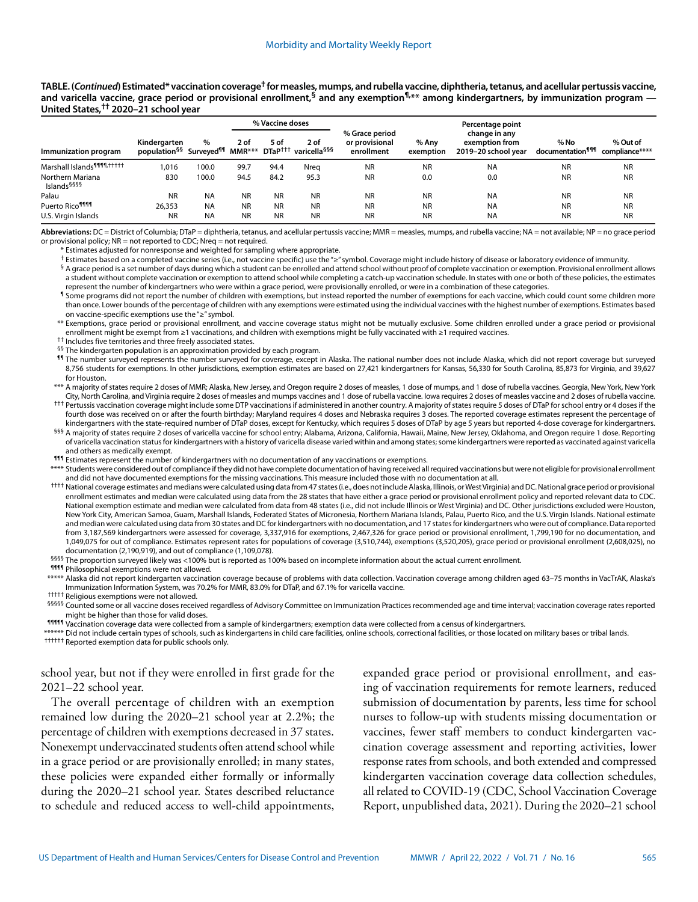**TABLE. (***Continued***) Estimated\* vaccination coverage† for measles, mumps, and rubella vaccine, diphtheria, tetanus, and acellular pertussis vaccine,**  and varicella vaccine, grace period or provisional enrollment,<sup>§</sup> and any exemption<sup>¶,\*\*</sup> among kindergartners, by immunization program — **United States,†† 2020–21 school year**

|                                             |                                                                       |           |           | % Vaccine doses |                                                      |                                                |                    | Percentage point                                       |                                      |                            |
|---------------------------------------------|-----------------------------------------------------------------------|-----------|-----------|-----------------|------------------------------------------------------|------------------------------------------------|--------------------|--------------------------------------------------------|--------------------------------------|----------------------------|
| Immunization program                        | Kindergarten<br>population <sup>§§</sup> Surveyed <sup>¶</sup> MMR*** | %         | 2 of      | 5 of            | 2 of<br>DTaP <sup>†††</sup> varicella <sup>§§§</sup> | % Grace period<br>or provisional<br>enrollment | % Anv<br>exemption | change in any<br>exemption from<br>2019-20 school year | % No<br>documentation <sup>¶¶¶</sup> | % Out of<br>compliance**** |
| Marshall Islands <sup>9999</sup> , http://  | 1.016                                                                 | 100.0     | 99.7      | 94.4            | Nrea                                                 | <b>NR</b>                                      | <b>NR</b>          | <b>NA</b>                                              | <b>NR</b>                            | <b>NR</b>                  |
| Northern Mariana<br>Islands <sup>§§§§</sup> | 830                                                                   | 100.0     | 94.5      | 84.2            | 95.3                                                 | <b>NR</b>                                      | 0.0                | 0.0                                                    | <b>NR</b>                            | <b>NR</b>                  |
| Palau                                       | <b>NR</b>                                                             | <b>NA</b> | <b>NR</b> | <b>NR</b>       | <b>NR</b>                                            | <b>NR</b>                                      | <b>NR</b>          | <b>NA</b>                                              | <b>NR</b>                            | <b>NR</b>                  |
| Puerto Rico <sup>¶¶¶</sup>                  | 26,353                                                                | <b>NA</b> | <b>NR</b> | <b>NR</b>       | <b>NR</b>                                            | <b>NR</b>                                      | <b>NR</b>          | <b>NA</b>                                              | <b>NR</b>                            | <b>NR</b>                  |
| U.S. Virgin Islands                         | <b>NR</b>                                                             | <b>NA</b> | <b>NR</b> | <b>NR</b>       | <b>NR</b>                                            | <b>NR</b>                                      | <b>NR</b>          | <b>NA</b>                                              | <b>NR</b>                            | <b>NR</b>                  |

**Abbreviations:** DC = District of Columbia; DTaP = diphtheria, tetanus, and acellular pertussis vaccine; MMR = measles, mumps, and rubella vaccine; NA = not available; NP = no grace period or provisional policy; NR = not reported to CDC; Nreq = not required.

\* Estimates adjusted for nonresponse and weighted for sampling where appropriate.

† Estimates based on a completed vaccine series (i.e., not vaccine specific) use the "≥" symbol. Coverage might include history of disease or laboratory evidence of immunity. § A grace period is a set number of days during which a student can be enrolled and attend school without proof of complete vaccination or exemption. Provisional enrollment allows a student without complete vaccination or exemption to attend school while completing a catch-up vaccination schedule. In states with one or both of these policies, the estimates

represent the number of kindergartners who were within a grace period, were provisionally enrolled, or were in a combination of these categories. ¶ Some programs did not report the number of children with exemptions, but instead reported the number of exemptions for each vaccine, which could count some children more than once. Lower bounds of the percentage of children with any exemptions were estimated using the individual vaccines with the highest number of exemptions. Estimates based

on vaccine-specific exemptions use the "≥" symbol.

\*\* Exemptions, grace period or provisional enrollment, and vaccine coverage status might not be mutually exclusive. Some children enrolled under a grace period or provisional the nrollment might be exempt from ≥1 vaccinations, and children with exemptions might be fully vaccinated with ≥1 required vaccines.<br><sup>††</sup> Includes five territories and three freely associated states.<br><sup>§§</sup> The kindergarte

8,756 students for exemptions. In other jurisdictions, exemption estimates are based on 27,421 kindergartners for Kansas, 56,330 for South Carolina, 85,873 for Virginia, and 39,627 for Houston.

\*\*\* A majority of states require 2 doses of MMR; Alaska, New Jersey, and Oregon require 2 doses of measles, 1 dose of mumps, and 1 dose of rubella vaccines. Georgia, New York, New York<br>City, North Carolina, and Virginia re

<sup>†††</sup> Pertussis vaccination coverage might include some DTP vaccinations if administered in another country. A majority of states require 5 doses of DTaP for school entry or 4 doses if the fourth dose was received on or after the fourth birthday; Maryland requires 4 doses and Nebraska requires 3 doses. The reported coverage estimates represent the percentage of<br>kindergartners with the state-required number o

<sup>555</sup> A majority of states require 2 doses of varicella vaccine for school entry; Alabama, Arizona, California, Hawaii, Maine, New Jersey, Oklahoma, and Oregon require 1 dose. Reporting of varicella vaccination status for kindergartners with a history of varicella disease varied within and among states; some kindergartners were reported as vaccinated against varicella<br>and others as medically exempt.

¶¶¶ Estimates represent the number of kindergartners with no documentation of any vaccinations or exemptions.

\*\*\*\* Students were considered out of compliance if they did not have complete documentation of having received all required vaccinations but were not eligible for provisional enrollment<br>and did not have documented exemptio

\*\*\*\* National coverage estimates and medians were calculated using data from 47 states (i.e., does not include Alaska, Illinois, or West Virginia) and DC. National grace period or provisional enrollment estimates and median were calculated using data from the 28 states that have either a grace period or provisional enrollment policy and reported relevant data to CDC. National exemption estimate and median were calculated from data from 48 states (i.e., did not include Illinois or West Virginia) and DC. Other jurisdictions excluded were Houston, New York City, American Samoa, Guam, Marshall Islands, Federated States of Micronesia, Northern Mariana Islands, Palau, Puerto Rico, and the U.S. Virgin Islands. National estimate and median were calculated using data from 30 states and DC for kindergartners with no documentation, and 17 states for kindergartners who were out of compliance. Data reported from 3,187,569 kindergartners were assessed for coverage, 3,337,916 for exemptions, 2,467,326 for grace period or provisional enrollment, 1,799,190 for no documentation, and 1,049,075 for out of compliance. Estimates represent rates for populations of coverage (3,510,744), exemptions (3,520,205), grace period or provisional enrollment (2,608,025), no

<sup>§§§§</sup> The proportion surveyed likely was <100% but is reported as 100% based on incomplete information about the actual current enrollment.<br>¶¶¶ Philosophical exemptions were not allowed.

Alaska did not report kindergarten vaccination coverage because of problems with data collection. Vaccination coverage among children aged 63–75 months in VacTrAK, Alaska's Imunization Information System, was 70.2% for MMR

<sup>†††††</sup> Religious exemptions were not allowed.<br><sup>§§§§§</sup> Counted some or all vaccine doses received regardless of Advisory Committee on Immunization Practices recommended age and time interval; vaccination coverage rates rep

might be higher than those for valid doses.<br>¶¶¶¶¶¶¶¶¶¶¶¶¶¶¶¶®™ for exerage data were collected from a sample of kindergartners; exemption data were collected from a census of kindergartners.

\*\*\*\*\*\* Did not include certain types of schools, such as kindergartens in child care facilities, online schools, correctional facilities, or those located on military bases or tribal lands.<br><sup>††††††</sup> Reported exemption data

school year, but not if they were enrolled in first grade for the 2021–22 school year.

The overall percentage of children with an exemption remained low during the 2020–21 school year at 2.2%; the percentage of children with exemptions decreased in 37 states. Nonexempt undervaccinated students often attend school while in a grace period or are provisionally enrolled; in many states, these policies were expanded either formally or informally during the 2020–21 school year. States described reluctance to schedule and reduced access to well-child appointments,

expanded grace period or provisional enrollment, and easing of vaccination requirements for remote learners, reduced submission of documentation by parents, less time for school nurses to follow-up with students missing documentation or vaccines, fewer staff members to conduct kindergarten vaccination coverage assessment and reporting activities, lower response rates from schools, and both extended and compressed kindergarten vaccination coverage data collection schedules, all related to COVID-19 (CDC, School Vaccination Coverage Report, unpublished data, 2021). During the 2020–21 school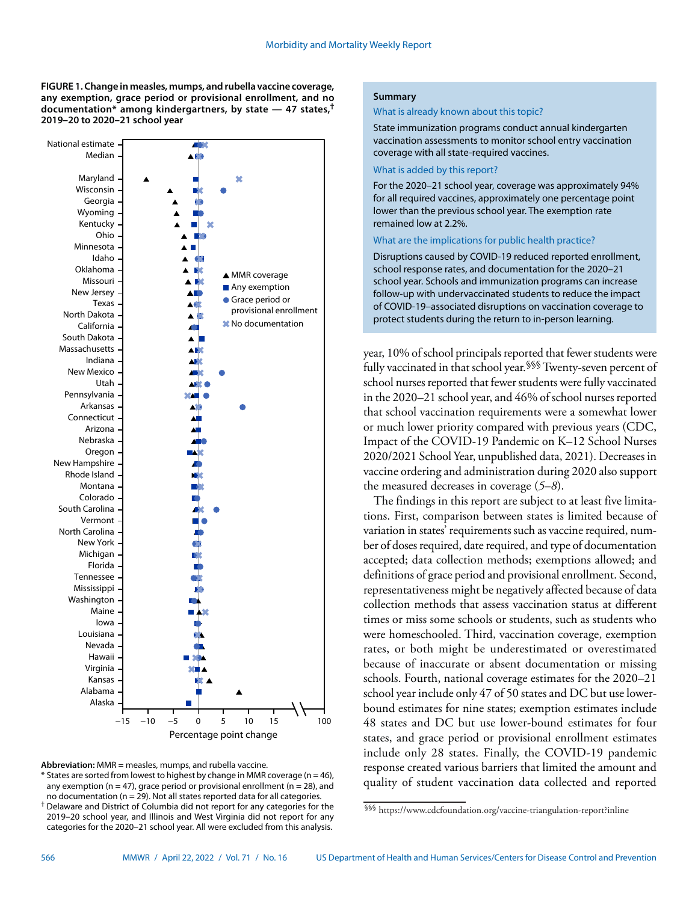**FIGURE 1. Change in measles, mumps, and rubella vaccine coverage, any exemption, grace period or provisional enrollment, and no documentation\* among kindergartners, by state — 47 states,† 2019–20 to 2020–21 school year**



**Abbreviation:** MMR = measles, mumps, and rubella vaccine.

 $*$  States are sorted from lowest to highest by change in MMR coverage (n = 46), any exemption ( $n = 47$ ), grace period or provisional enrollment ( $n = 28$ ), and no documentation ( $n = 29$ ). Not all states reported data for all categories. † Delaware and District of Columbia did not report for any categories for the 2019–20 school year, and Illinois and West Virginia did not report for any

categories for the 2020–21 school year. All were excluded from this analysis.

#### **Summary**

#### What is already known about this topic?

State immunization programs conduct annual kindergarten vaccination assessments to monitor school entry vaccination coverage with all state-required vaccines.

## What is added by this report?

For the 2020–21 school year, coverage was approximately 94% for all required vaccines, approximately one percentage point lower than the previous school year. The exemption rate remained low at 2.2%.

# What are the implications for public health practice?

Disruptions caused by COVID-19 reduced reported enrollment, school response rates, and documentation for the 2020–21 school year. Schools and immunization programs can increase follow-up with undervaccinated students to reduce the impact of COVID-19–associated disruptions on vaccination coverage to protect students during the return to in-person learning.

year, 10% of school principals reported that fewer students were fully vaccinated in that school year.§§§ Twenty-seven percent of school nurses reported that fewer students were fully vaccinated in the 2020–21 school year, and 46% of school nurses reported that school vaccination requirements were a somewhat lower or much lower priority compared with previous years (CDC, Impact of the COVID-19 Pandemic on K–12 School Nurses 2020/2021 School Year, unpublished data, 2021). Decreases in vaccine ordering and administration during 2020 also support the measured decreases in coverage (*5*–*8*).

The findings in this report are subject to at least five limitations. First, comparison between states is limited because of variation in states' requirements such as vaccine required, number of doses required, date required, and type of documentation accepted; data collection methods; exemptions allowed; and definitions of grace period and provisional enrollment. Second, representativeness might be negatively affected because of data collection methods that assess vaccination status at different times or miss some schools or students, such as students who were homeschooled. Third, vaccination coverage, exemption rates, or both might be underestimated or overestimated because of inaccurate or absent documentation or missing schools. Fourth, national coverage estimates for the 2020–21 school year include only 47 of 50 states and DC but use lowerbound estimates for nine states; exemption estimates include 48 states and DC but use lower-bound estimates for four states, and grace period or provisional enrollment estimates include only 28 states. Finally, the COVID-19 pandemic response created various barriers that limited the amount and quality of student vaccination data collected and reported

<sup>§§§</sup> <https://www.cdcfoundation.org/vaccine-triangulation-report?inline>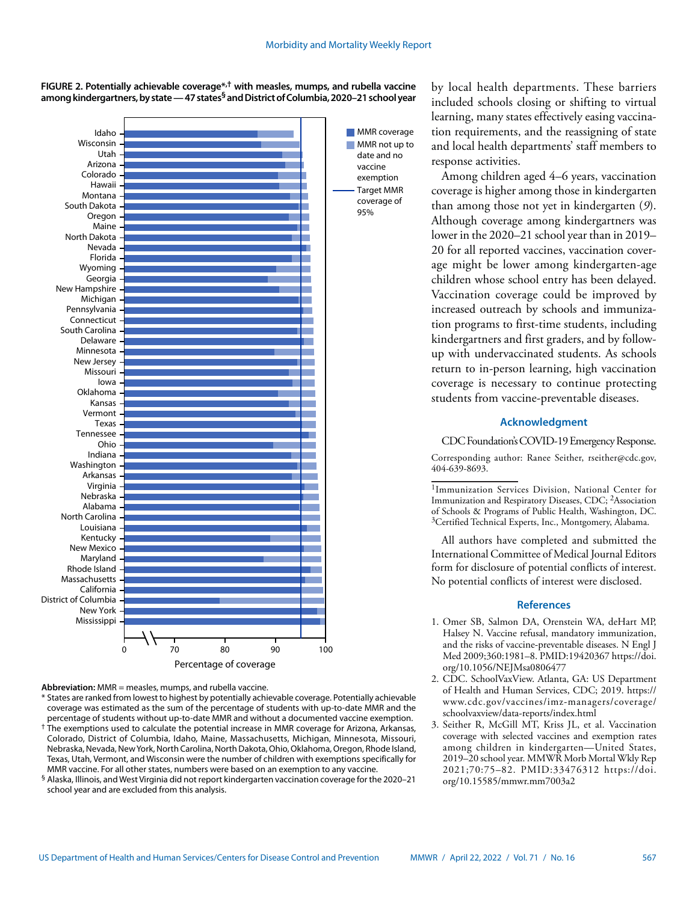**FIGURE 2. Potentially achievable coverage\*,† with measles, mumps, and rubella vaccine among kindergartners, by state — 47 states§ and District of Columbia, 2020–21 school year**



**Abbreviation:** MMR = measles, mumps, and rubella vaccine.

\* States are ranked from lowest to highest by potentially achievable coverage. Potentially achievable coverage was estimated as the sum of the percentage of students with up-to-date MMR and the percentage of students without up-to-date MMR and without a documented vaccine exemption. † The exemptions used to calculate the potential increase in MMR coverage for Arizona, Arkansas, Colorado, District of Columbia, Idaho, Maine, Massachusetts, Michigan, Minnesota, Missouri, Nebraska, Nevada, New York, North Carolina, North Dakota, Ohio, Oklahoma, Oregon, Rhode Island, Texas, Utah, Vermont, and Wisconsin were the number of children with exemptions specifically for MMR vaccine. For all other states, numbers were based on an exemption to any vaccine.

 $\,$ § Alaska, Illinois, and West Virginia did not report kindergarten vaccination coverage for the 2020–21 school year and are excluded from this analysis.

by local health departments. These barriers included schools closing or shifting to virtual learning, many states effectively easing vaccination requirements, and the reassigning of state and local health departments' staff members to response activities.

Among children aged 4–6 years, vaccination coverage is higher among those in kindergarten than among those not yet in kindergarten (*9*). Although coverage among kindergartners was lower in the 2020–21 school year than in 2019– 20 for all reported vaccines, vaccination coverage might be lower among kindergarten-age children whose school entry has been delayed. Vaccination coverage could be improved by increased outreach by schools and immunization programs to first-time students, including kindergartners and first graders, and by followup with undervaccinated students. As schools return to in-person learning, high vaccination coverage is necessary to continue protecting students from vaccine-preventable diseases.

## **Acknowledgment**

CDC Foundation's COVID-19 Emergency Response. Corresponding author: Ranee Seither, [rseither@cdc.gov,](mailto:rseither@cdc.gov) 404-639-8693.

1Immunization Services Division, National Center for Immunization and Respiratory Diseases, CDC; 2Association of Schools & Programs of Public Health, Washington, DC. 3Certified Technical Experts, Inc., Montgomery, Alabama.

All authors have completed and submitted the International Committee of Medical Journal Editors form for disclosure of potential conflicts of interest. No potential conflicts of interest were disclosed.

## **References**

- 1. Omer SB, Salmon DA, Orenstein WA, deHart MP, Halsey N. Vaccine refusal, mandatory immunization, and the risks of vaccine-preventable diseases. N Engl J Med 2009;360:1981–8. [PMID:19420367](https://www.ncbi.nlm.nih.gov/entrez/query.fcgi?cmd=Retrieve&db=PubMed&list_uids=19420367&dopt=Abstract) [https://doi.](https://doi.org/10.1056/NEJMsa0806477) [org/10.1056/NEJMsa0806477](https://doi.org/10.1056/NEJMsa0806477)
- 2. CDC. SchoolVaxView. Atlanta, GA: US Department of Health and Human Services, CDC; 2019. [https://](https://www.cdc.gov/vaccines/imz-managers/coverage/schoolvaxview/data-reports/index.html) [www.cdc.gov/vaccines/imz-managers/coverage/](https://www.cdc.gov/vaccines/imz-managers/coverage/schoolvaxview/data-reports/index.html) [schoolvaxview/data-reports/index.html](https://www.cdc.gov/vaccines/imz-managers/coverage/schoolvaxview/data-reports/index.html)
- 3. Seither R, McGill MT, Kriss JL, et al. Vaccination coverage with selected vaccines and exemption rates among children in kindergarten—United States, 2019–20 school year. MMWR Morb Mortal Wkly Rep 2021;70:75–82. [PMID:33476312](https://www.ncbi.nlm.nih.gov/entrez/query.fcgi?cmd=Retrieve&db=PubMed&list_uids=33476312&dopt=Abstract) [https://doi.](https://doi.org/10.15585/mmwr.mm7003a2) [org/10.15585/mmwr.mm7003a2](https://doi.org/10.15585/mmwr.mm7003a2)